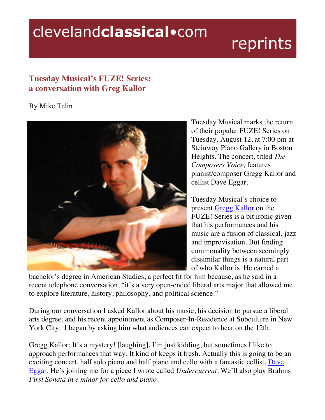# clevelandclassical.com

# reprints

## **Tuesday Musical's FUZE! Series: a conversation with Greg Kallor**

### By Mike Telin



Tuesday Musical marks the return of their popular FUZE! Series on Tuesday, August 12, at 7:00 pm at Steinway Piano Gallery in Boston Heights. The concert, titled *The Composers Voice,* features pianist/composer Gregg Kallor and cellist Dave Eggar.

Tuesday Musical's choice to present Gregg Kallor on the FUZE! Series is a bit ironic given that his performances and his music are a fusion of classical, jazz and improvisation. But finding commonality between seemingly dissimilar things is a natural part of who Kallor is. He earned a

bachelor's degree in American Studies, a perfect fit for him because, as he said in a recent telephone conversation, "it's a very open-ended liberal arts major that allowed me to explore literature, history, philosophy, and political science."

During our conversation I asked Kallor about his music, his decision to pursue a liberal arts degree, and his recent appointment as Composer-In-Residence at Subculture in New York City. I began by asking him what audiences can expect to hear on the 12th.

Gregg Kallor: It's a mystery! [laughing]. I'm just kidding, but sometimes I like to approach performances that way. It kind of keeps it fresh. Actually this is going to be an exciting concert, half solo piano and half piano and cello with a fantastic cellist, Dave Eggar. He's joining me for a piece I wrote called *Undercurrent*. We'll also play Brahms *First Sonata in e minor for cello and piano*.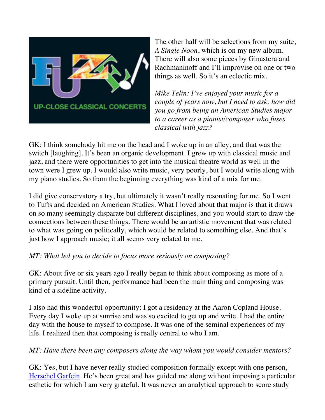

The other half will be selections from my suite, *A Single Noon*, which is on my new album. There will also some pieces by Ginastera and Rachmaninoff and I'll improvise on one or two things as well. So it's an eclectic mix.

*Mike Telin: I've enjoyed your music for a couple of years now, but I need to ask: how did you go from being an American Studies major to a career as a pianist/composer who fuses classical with jazz?* 

GK: I think somebody hit me on the head and I woke up in an alley, and that was the switch [laughing]. It's been an organic development. I grew up with classical music and jazz, and there were opportunities to get into the musical theatre world as well in the town were I grew up. I would also write music, very poorly, but I would write along with my piano studies. So from the beginning everything was kind of a mix for me.

I did give conservatory a try, but ultimately it wasn't really resonating for me. So I went to Tufts and decided on American Studies. What I loved about that major is that it draws on so many seemingly disparate but different disciplines, and you would start to draw the connections between these things. There would be an artistic movement that was related to what was going on politically, which would be related to something else. And that's just how I approach music; it all seems very related to me.

#### *MT: What led you to decide to focus more seriously on composing?*

GK: About five or six years ago I really began to think about composing as more of a primary pursuit. Until then, performance had been the main thing and composing was kind of a sideline activity.

I also had this wonderful opportunity: I got a residency at the Aaron Copland House. Every day I woke up at sunrise and was so excited to get up and write. I had the entire day with the house to myself to compose. It was one of the seminal experiences of my life. I realized then that composing is really central to who I am.

#### *MT: Have there been any composers along the way whom you would consider mentors?*

GK: Yes, but I have never really studied composition formally except with one person, Herschel Garfein. He's been great and has guided me along without imposing a particular esthetic for which I am very grateful. It was never an analytical approach to score study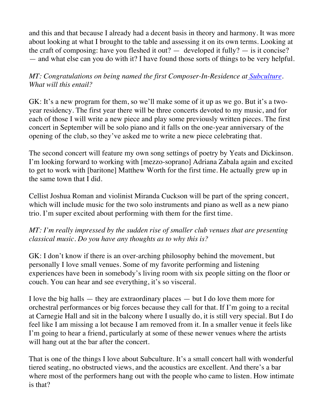and this and that because I already had a decent basis in theory and harmony. It was more about looking at what I brought to the table and assessing it on its own terms. Looking at the craft of composing: have you fleshed it out?  $-$  developed it fully?  $-$  is it concise? — and what else can you do with it? I have found those sorts of things to be very helpful.

*MT: Congratulations on being named the first Composer-In-Residence at Subculture. What will this entail?* 

GK: It's a new program for them, so we'll make some of it up as we go. But it's a twoyear residency. The first year there will be three concerts devoted to my music, and for each of those I will write a new piece and play some previously written pieces. The first concert in September will be solo piano and it falls on the one-year anniversary of the opening of the club, so they've asked me to write a new piece celebrating that.

The second concert will feature my own song settings of poetry by Yeats and Dickinson. I'm looking forward to working with [mezzo-soprano] Adriana Zabala again and excited to get to work with [baritone] Matthew Worth for the first time. He actually grew up in the same town that I did.

Cellist Joshua Roman and violinist Miranda Cuckson will be part of the spring concert, which will include music for the two solo instruments and piano as well as a new piano trio. I'm super excited about performing with them for the first time.

#### *MT: I'm really impressed by the sudden rise of smaller club venues that are presenting classical music. Do you have any thoughts as to why this is?*

GK: I don't know if there is an over-arching philosophy behind the movement, but personally I love small venues. Some of my favorite performing and listening experiences have been in somebody's living room with six people sitting on the floor or couch. You can hear and see everything, it's so visceral.

I love the big halls  $-$  they are extraordinary places  $-$  but I do love them more for orchestral performances or big forces because they call for that. If I'm going to a recital at Carnegie Hall and sit in the balcony where I usually do, it is still very special. But I do feel like I am missing a lot because I am removed from it. In a smaller venue it feels like I'm going to hear a friend, particularly at some of these newer venues where the artists will hang out at the bar after the concert.

That is one of the things I love about Subculture. It's a small concert hall with wonderful tiered seating, no obstructed views, and the acoustics are excellent. And there's a bar where most of the performers hang out with the people who came to listen. How intimate is that?